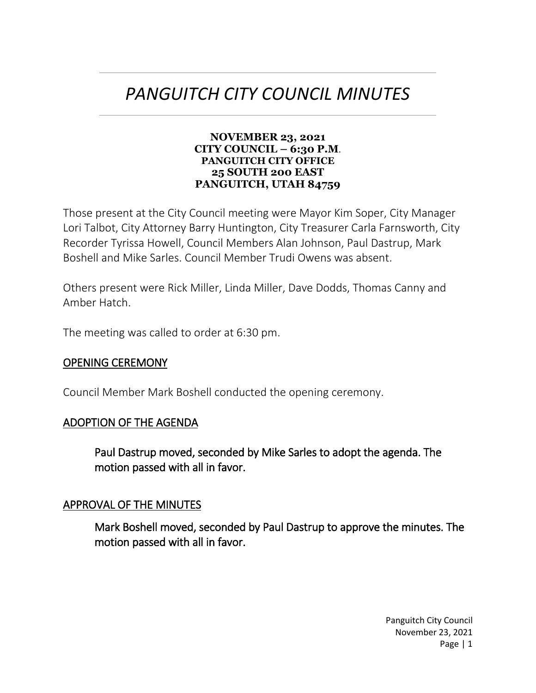# *PANGUITCH CITY COUNCIL MINUTES*

#### **NOVEMBER 23, 2021 CITY COUNCIL – 6:30 P.M**. **PANGUITCH CITY OFFICE 25 SOUTH 200 EAST PANGUITCH, UTAH 84759**

Those present at the City Council meeting were Mayor Kim Soper, City Manager Lori Talbot, City Attorney Barry Huntington, City Treasurer Carla Farnsworth, City Recorder Tyrissa Howell, Council Members Alan Johnson, Paul Dastrup, Mark Boshell and Mike Sarles. Council Member Trudi Owens was absent.

Others present were Rick Miller, Linda Miller, Dave Dodds, Thomas Canny and Amber Hatch.

The meeting was called to order at 6:30 pm.

#### OPENING CEREMONY

Council Member Mark Boshell conducted the opening ceremony.

#### ADOPTION OF THE AGENDA

Paul Dastrup moved, seconded by Mike Sarles to adopt the agenda. The motion passed with all in favor.

#### APPROVAL OF THE MINUTES

Mark Boshell moved, seconded by Paul Dastrup to approve the minutes. The motion passed with all in favor.

> Panguitch City Council November 23, 2021 Page | 1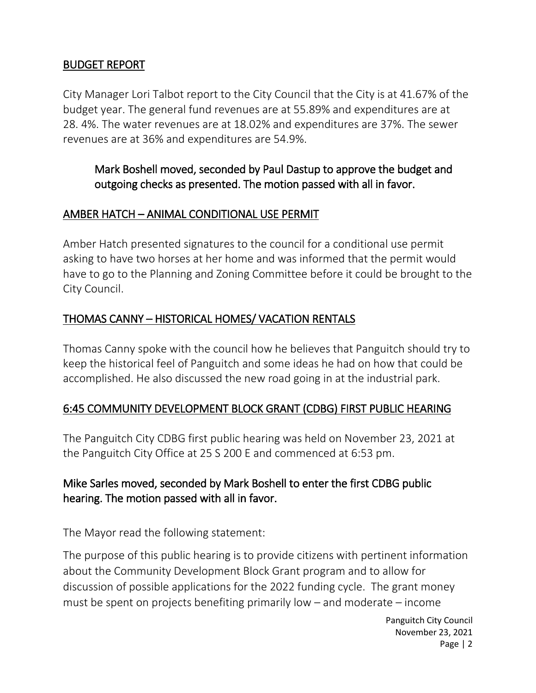#### BUDGET REPORT

City Manager Lori Talbot report to the City Council that the City is at 41.67% of the budget year. The general fund revenues are at 55.89% and expenditures are at 28. 4%. The water revenues are at 18.02% and expenditures are 37%. The sewer revenues are at 36% and expenditures are 54.9%.

## Mark Boshell moved, seconded by Paul Dastup to approve the budget and outgoing checks as presented. The motion passed with all in favor.

#### AMBER HATCH – ANIMAL CONDITIONAL USE PERMIT

Amber Hatch presented signatures to the council for a conditional use permit asking to have two horses at her home and was informed that the permit would have to go to the Planning and Zoning Committee before it could be brought to the City Council.

#### THOMAS CANNY – HISTORICAL HOMES/ VACATION RENTALS

Thomas Canny spoke with the council how he believes that Panguitch should try to keep the historical feel of Panguitch and some ideas he had on how that could be accomplished. He also discussed the new road going in at the industrial park.

## 6:45 COMMUNITY DEVELOPMENT BLOCK GRANT (CDBG) FIRST PUBLIC HEARING

The Panguitch City CDBG first public hearing was held on November 23, 2021 at the Panguitch City Office at 25 S 200 E and commenced at 6:53 pm.

## Mike Sarles moved, seconded by Mark Boshell to enter the first CDBG public hearing. The motion passed with all in favor.

The Mayor read the following statement:

The purpose of this public hearing is to provide citizens with pertinent information about the Community Development Block Grant program and to allow for discussion of possible applications for the 2022 funding cycle. The grant money must be spent on projects benefiting primarily low – and moderate – income

> Panguitch City Council November 23, 2021 Page | 2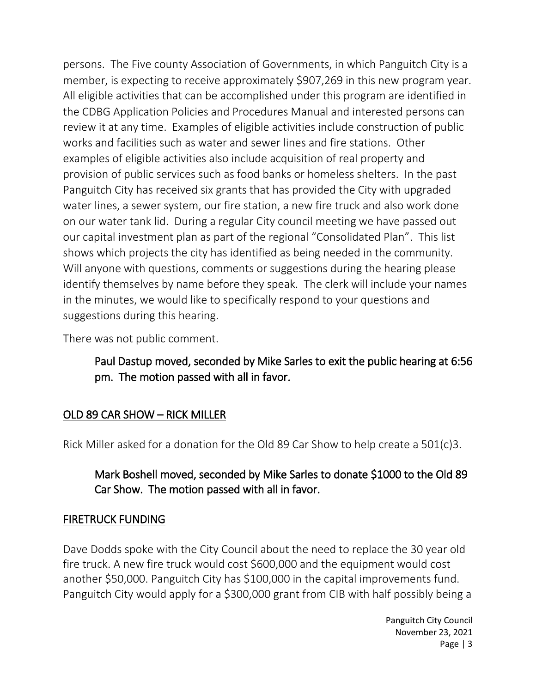persons. The Five county Association of Governments, in which Panguitch City is a member, is expecting to receive approximately \$907,269 in this new program year. All eligible activities that can be accomplished under this program are identified in the CDBG Application Policies and Procedures Manual and interested persons can review it at any time. Examples of eligible activities include construction of public works and facilities such as water and sewer lines and fire stations. Other examples of eligible activities also include acquisition of real property and provision of public services such as food banks or homeless shelters. In the past Panguitch City has received six grants that has provided the City with upgraded water lines, a sewer system, our fire station, a new fire truck and also work done on our water tank lid. During a regular City council meeting we have passed out our capital investment plan as part of the regional "Consolidated Plan". This list shows which projects the city has identified as being needed in the community. Will anyone with questions, comments or suggestions during the hearing please identify themselves by name before they speak. The clerk will include your names in the minutes, we would like to specifically respond to your questions and suggestions during this hearing.

There was not public comment.

## Paul Dastup moved, seconded by Mike Sarles to exit the public hearing at 6:56 pm. The motion passed with all in favor.

## OLD 89 CAR SHOW – RICK MILLER

Rick Miller asked for a donation for the Old 89 Car Show to help create a 501(c)3.

## Mark Boshell moved, seconded by Mike Sarles to donate \$1000 to the Old 89 Car Show. The motion passed with all in favor.

#### FIRETRUCK FUNDING

Dave Dodds spoke with the City Council about the need to replace the 30 year old fire truck. A new fire truck would cost \$600,000 and the equipment would cost another \$50,000. Panguitch City has \$100,000 in the capital improvements fund. Panguitch City would apply for a \$300,000 grant from CIB with half possibly being a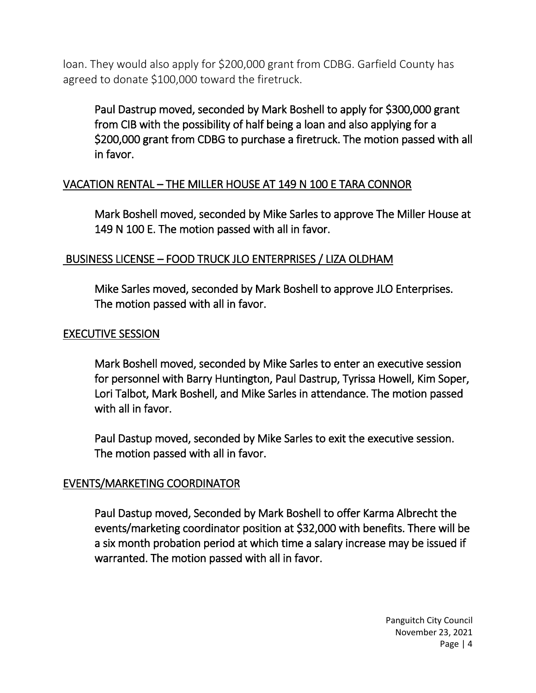loan. They would also apply for \$200,000 grant from CDBG. Garfield County has agreed to donate \$100,000 toward the firetruck.

Paul Dastrup moved, seconded by Mark Boshell to apply for \$300,000 grant from CIB with the possibility of half being a loan and also applying for a \$200,000 grant from CDBG to purchase a firetruck. The motion passed with all in favor.

#### VACATION RENTAL – THE MILLER HOUSE AT 149 N 100 E TARA CONNOR

Mark Boshell moved, seconded by Mike Sarles to approve The Miller House at 149 N 100 E. The motion passed with all in favor.

#### BUSINESS LICENSE – FOOD TRUCK JLO ENTERPRISES / LIZA OLDHAM

Mike Sarles moved, seconded by Mark Boshell to approve JLO Enterprises. The motion passed with all in favor.

#### EXECUTIVE SESSION

Mark Boshell moved, seconded by Mike Sarles to enter an executive session for personnel with Barry Huntington, Paul Dastrup, Tyrissa Howell, Kim Soper, Lori Talbot, Mark Boshell, and Mike Sarles in attendance. The motion passed with all in favor.

Paul Dastup moved, seconded by Mike Sarles to exit the executive session. The motion passed with all in favor.

#### EVENTS/MARKETING COORDINATOR

Paul Dastup moved, Seconded by Mark Boshell to offer Karma Albrecht the events/marketing coordinator position at \$32,000 with benefits. There will be a six month probation period at which time a salary increase may be issued if warranted. The motion passed with all in favor.